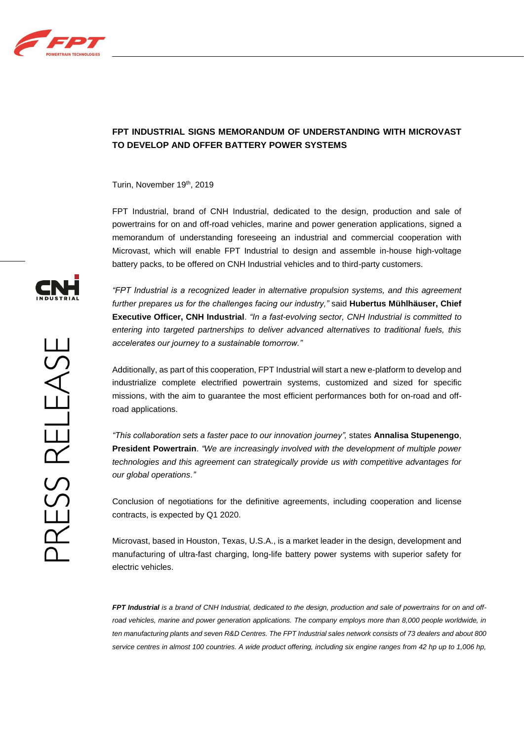

## **FPT INDUSTRIAL SIGNS MEMORANDUM OF UNDERSTANDING WITH MICROVAST TO DEVELOP AND OFFER BATTERY POWER SYSTEMS**

Turin, November 19th, 2019

FPT Industrial, brand of CNH Industrial, dedicated to the design, production and sale of powertrains for on and off-road vehicles, marine and power generation applications, signed a memorandum of understanding foreseeing an industrial and commercial cooperation with Microvast, which will enable FPT Industrial to design and assemble in-house high-voltage battery packs, to be offered on CNH Industrial vehicles and to third-party customers.

*"FPT Industrial is a recognized leader in alternative propulsion systems, and this agreement further prepares us for the challenges facing our industry,"* said **Hubertus Mühlhäuser, Chief Executive Officer, CNH Industrial**. *"In a fast-evolving sector, CNH Industrial is committed to entering into targeted partnerships to deliver advanced alternatives to traditional fuels, this accelerates our journey to a sustainable tomorrow."*

Additionally, as part of this cooperation, FPT Industrial will start a new e-platform to develop and industrialize complete electrified powertrain systems, customized and sized for specific missions, with the aim to guarantee the most efficient performances both for on-road and offroad applications.

*"This collaboration sets a faster pace to our innovation journey",* states **Annalisa Stupenengo**, **President Powertrain**. *"We are increasingly involved with the development of multiple power technologies and this agreement can strategically provide us with competitive advantages for our global operations."*

Conclusion of negotiations for the definitive agreements, including cooperation and license contracts, is expected by Q1 2020.

Microvast, based in Houston, Texas, U.S.A., is a market leader in the design, development and manufacturing of ultra-fast charging, long-life battery power systems with superior safety for electric vehicles.

*FPT Industrial is a brand of CNH Industrial, dedicated to the design, production and sale of powertrains for on and off*road vehicles, marine and power generation applications. The company employs more than 8,000 people worldwide, in *ten manufacturing plants and seven R&D Centres. The FPT Industrial sales network consists of 73 dealers and about 800 service centres in almost 100 countries. A wide product offering, including six engine ranges from 42 hp up to 1,006 hp,*